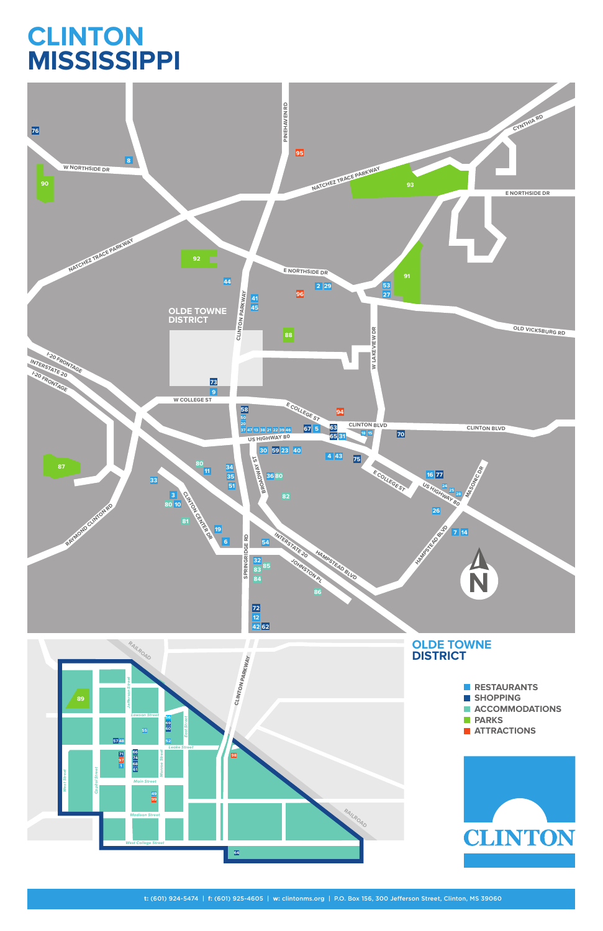**t:** (601) 924-5474 | **f:** (601) 925-4605 | **w:** clintonms.org | P.O. Box 156, 300 Jefferson Street, Clinton, MS 39060



# **CLINTON MISSISSIPPI**